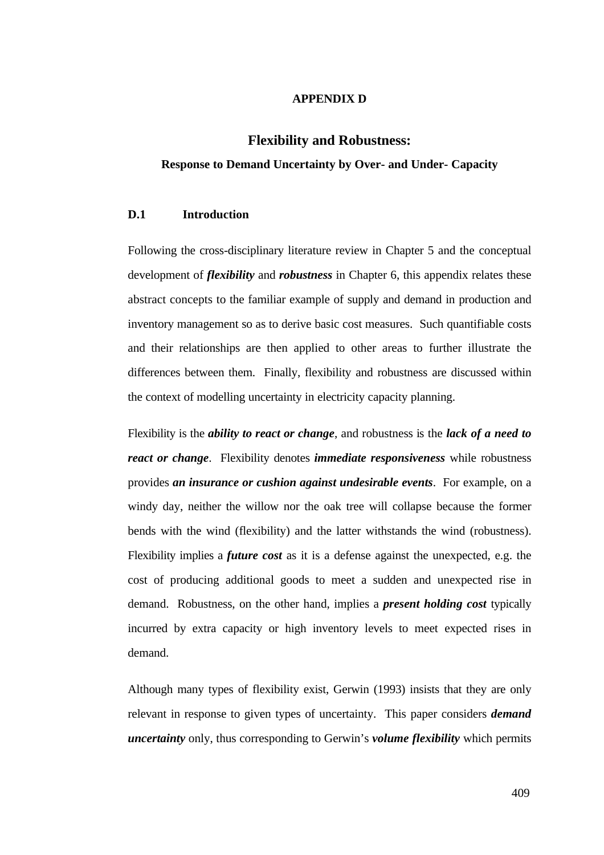#### **APPENDIX D**

## **Flexibility and Robustness:**

#### **Response to Demand Uncertainty by Over- and Under- Capacity**

#### **D.1 Introduction**

Following the cross-disciplinary literature review in Chapter 5 and the conceptual development of *flexibility* and *robustness* in Chapter 6, this appendix relates these abstract concepts to the familiar example of supply and demand in production and inventory management so as to derive basic cost measures. Such quantifiable costs and their relationships are then applied to other areas to further illustrate the differences between them. Finally, flexibility and robustness are discussed within the context of modelling uncertainty in electricity capacity planning.

Flexibility is the *ability to react or change*, and robustness is the *lack of a need to react or change*. Flexibility denotes *immediate responsiveness* while robustness provides *an insurance or cushion against undesirable events*. For example, on a windy day, neither the willow nor the oak tree will collapse because the former bends with the wind (flexibility) and the latter withstands the wind (robustness). Flexibility implies a *future cost* as it is a defense against the unexpected, e.g. the cost of producing additional goods to meet a sudden and unexpected rise in demand. Robustness, on the other hand, implies a *present holding cost* typically incurred by extra capacity or high inventory levels to meet expected rises in demand.

Although many types of flexibility exist, Gerwin (1993) insists that they are only relevant in response to given types of uncertainty. This paper considers *demand uncertainty* only, thus corresponding to Gerwin's *volume flexibility* which permits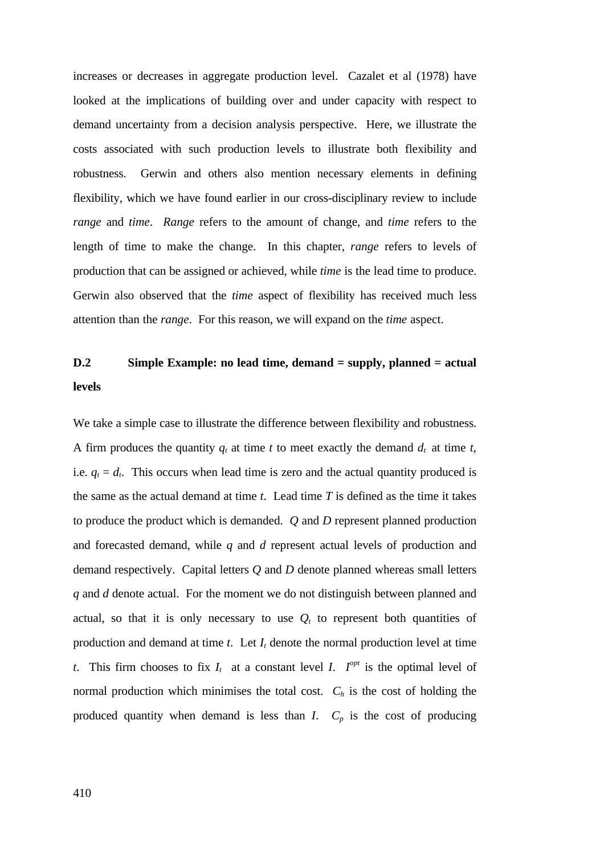increases or decreases in aggregate production level. Cazalet et al (1978) have looked at the implications of building over and under capacity with respect to demand uncertainty from a decision analysis perspective. Here, we illustrate the costs associated with such production levels to illustrate both flexibility and robustness. Gerwin and others also mention necessary elements in defining flexibility, which we have found earlier in our cross-disciplinary review to include *range* and *time*. *Range* refers to the amount of change, and *time* refers to the length of time to make the change. In this chapter, *range* refers to levels of production that can be assigned or achieved, while *time* is the lead time to produce. Gerwin also observed that the *time* aspect of flexibility has received much less attention than the *range*. For this reason, we will expand on the *time* aspect.

# **D.2 Simple Example: no lead time, demand = supply, planned = actual levels**

We take a simple case to illustrate the difference between flexibility and robustness. A firm produces the quantity  $q_t$  at time  $t$  to meet exactly the demand  $d_t$  at time  $t$ , i.e.  $q_t = d_t$ . This occurs when lead time is zero and the actual quantity produced is the same as the actual demand at time *t*. Lead time *T* is defined as the time it takes to produce the product which is demanded. *Q* and *D* represent planned production and forecasted demand, while *q* and *d* represent actual levels of production and demand respectively. Capital letters *Q* and *D* denote planned whereas small letters *q* and *d* denote actual. For the moment we do not distinguish between planned and actual, so that it is only necessary to use  $Q_t$  to represent both quantities of production and demand at time  $t$ . Let  $I_t$  denote the normal production level at time *t*. This firm chooses to fix  $I_t$  at a constant level *I*.  $I^{opt}$  is the optimal level of normal production which minimises the total cost.  $C_h$  is the cost of holding the produced quantity when demand is less than  $I$ .  $C_p$  is the cost of producing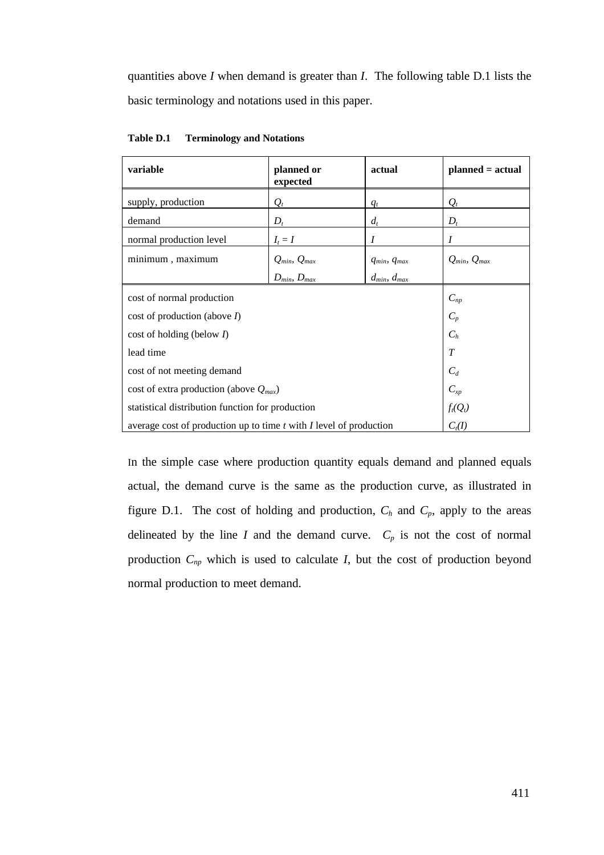quantities above *I* when demand is greater than *I*. The following table D.1 lists the basic terminology and notations used in this paper.

| variable                                                               | planned or<br>expected | actual                | $planned = actual$    |
|------------------------------------------------------------------------|------------------------|-----------------------|-----------------------|
| supply, production                                                     | $Q_t$                  | $q_t$                 | $Q_t$                 |
| demand                                                                 | $D_t$                  | $d_t$                 | $D_t$                 |
| normal production level                                                | $I_t = I$              | $\boldsymbol{I}$      | $\boldsymbol{I}$      |
| minimum, maximum                                                       | $Q_{min}, Q_{max}$     | $q_{min}$ , $q_{max}$ | $Q_{min}$ , $Q_{max}$ |
|                                                                        | $D_{min}, D_{max}$     | $d_{min}$ , $d_{max}$ |                       |
| cost of normal production                                              |                        |                       | $C_{np}$              |
| cost of production (above $I$ )                                        |                        |                       | $C_p$                 |
| cost of holding (below $I$ )                                           |                        |                       | $C_h$                 |
| lead time                                                              |                        |                       | $\tau$                |
| cost of not meeting demand                                             |                        |                       | $C_d$                 |
| cost of extra production (above $Q_{max}$ )                            |                        |                       | $C_{xp}$              |
| statistical distribution function for production                       |                        |                       | $f_t(Q_t)$            |
| average cost of production up to time $t$ with $I$ level of production |                        |                       | $C_t(I)$              |

**Table D.1 Terminology and Notations**

In the simple case where production quantity equals demand and planned equals actual, the demand curve is the same as the production curve, as illustrated in figure D.1. The cost of holding and production,  $C_h$  and  $C_p$ , apply to the areas delineated by the line  $I$  and the demand curve.  $C_p$  is not the cost of normal production *Cnp* which is used to calculate *I*, but the cost of production beyond normal production to meet demand.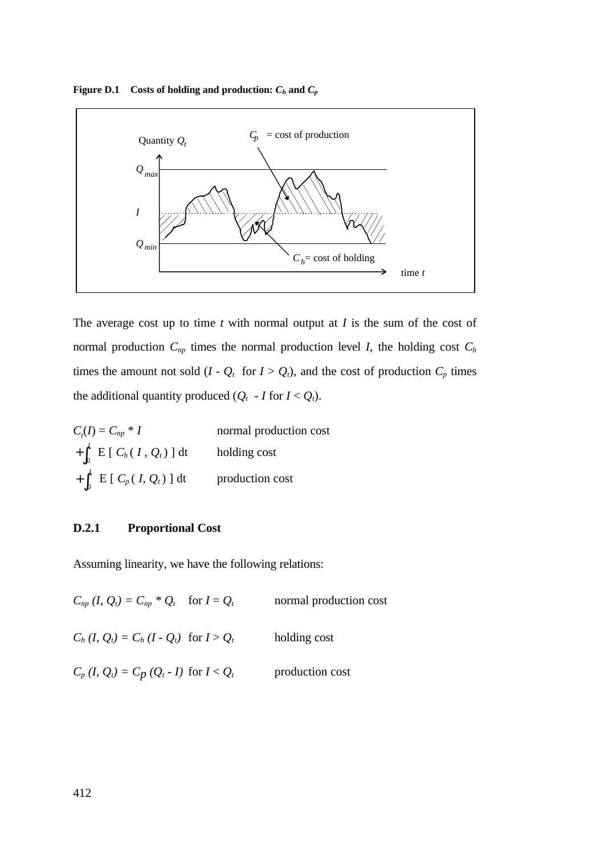**Figure D.1** Costs of holding and production:  $C_h$  and  $C_p$ 



The average cost up to time *t* with normal output at *I* is the sum of the cost of normal production  $C_{np}$  times the normal production level *I*, the holding cost  $C_h$ times the amount not sold  $(I - Q_t$  for  $I > Q_t$ , and the cost of production  $C_p$  times the additional quantity produced  $(Q_t - I$  for  $I < Q_t$ ).

| $C_{_{\rm r}}(I) = C_{_{np}} * I$     | normal production cost |
|---------------------------------------|------------------------|
| $+\int_0^t E[C_h(I, Q_t)] dt$         | holding cost           |
| $+\int_{0}^{t} E[C_{p}(I, Q_{t})] dt$ | production cost        |

# **D.2.1 Proportional Cost**

Assuming linearity, we have the following relations:

| $C_{np} (I, Q_t) = C_{np} * Q_t$ for $I = Q_t$ | normal production cost |
|------------------------------------------------|------------------------|
| $C_h (I, Q_t) = C_h (I - Q_t)$ for $I > Q_t$   | holding cost           |
| $C_p (I, Q_t) = C_p (Q_t - I)$ for $I < Q_t$   | production cost        |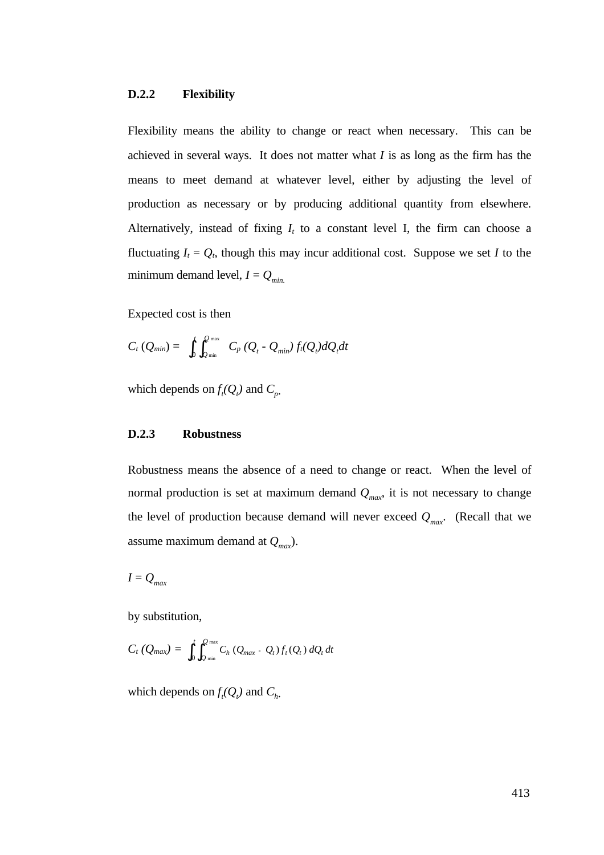#### **D.2.2 Flexibility**

Flexibility means the ability to change or react when necessary. This can be achieved in several ways. It does not matter what *I* is as long as the firm has the means to meet demand at whatever level, either by adjusting the level of production as necessary or by producing additional quantity from elsewhere. Alternatively, instead of fixing  $I_t$  to a constant level I, the firm can choose a fluctuating  $I_t = Q_t$ , though this may incur additional cost. Suppose we set *I* to the minimum demand level,  $I = Q_{min}$ .

Expected cost is then

$$
C_t(Q_{min}) = \int_0^t \int_{Q_{min}}^{Q_{max}} C_p (Q_t - Q_{min}) f_t(Q_t) dQ_t dt
$$

which depends on  $f_t(Q_t)$  and  $C_p$ .

#### **D.2.3 Robustness**

Robustness means the absence of a need to change or react. When the level of normal production is set at maximum demand *Qmax* , it is not necessary to change the level of production because demand will never exceed *Qmax* . (Recall that we assume maximum demand at *Qmax* ).

$$
I=Q_{max}
$$

by substitution,

$$
C_t(Q_{max}) = \int_0^t \int_{Q_{min}}^{Q_{max}} C_h (Q_{max} \cdot Q_t) f_t(Q_t) dQ_t dt
$$

which depends on  $f_t(Q_t)$  and  $C_h$ .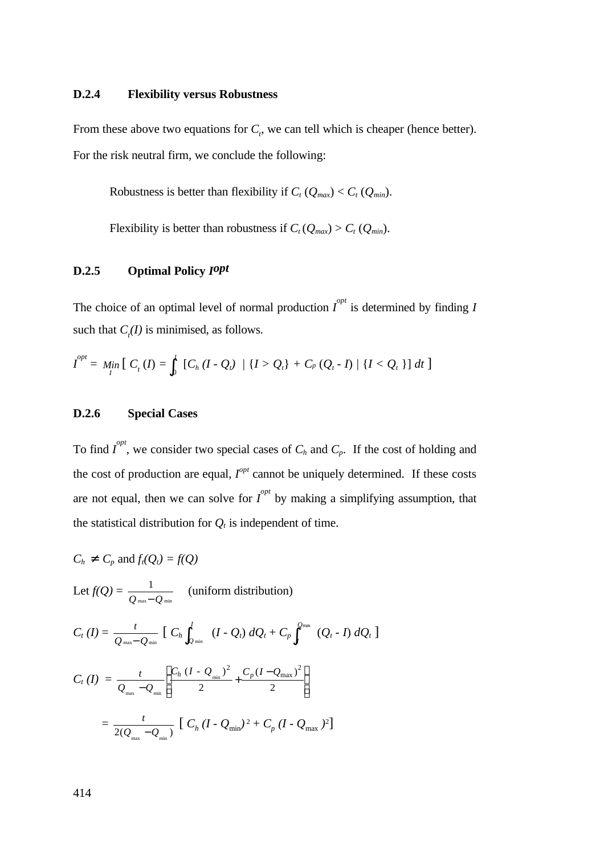## **D.2.4 Flexibility versus Robustness**

From these above two equations for  $C_t$ , we can tell which is cheaper (hence better). For the risk neutral firm, we conclude the following:

Robustness is better than flexibility if  $C_t(Q_{max}) < C_t(Q_{min})$ .

Flexibility is better than robustness if  $C_t(Q_{max}) > C_t(Q_{min})$ .

# **D.2.5 Optimal Policy** *I opt*

The choice of an optimal level of normal production  $I^{opt}$  is determined by finding *I* such that  $C_i(I)$  is minimised, as follows.

$$
I^{opt} = \underset{I}{\text{Min}} \left[ C_t(I) = \int_0^t \left[ C_h(I - Q_t) / \{I > Q_t\} + C_p (Q_t - I) / \{I < Q_t\} \right] dt \right]
$$

#### **D.2.6 Special Cases**

To find  $I^{opt}$ , we consider two special cases of  $C_h$  and  $C_p$ . If the cost of holding and the cost of production are equal,  $I^{opt}$  cannot be uniquely determined. If these costs are not equal, then we can solve for  $I^{opt}$  by making a simplifying assumption, that the statistical distribution for  $Q_t$  is independent of time.

$$
C_h \neq C_p \text{ and } f_t(Q_t) = f(Q)
$$

Let  $f(Q) = \frac{1}{Q}$ *Q* max− *Q* min (uniform distribution)

$$
C_{t}(I) = \frac{t}{Q_{\max} - Q_{\min}} \left[ C_{h} \int_{Q_{\min}}^{I} (I - Q_{t}) dQ_{t} + C_{p} \int_{I}^{Q_{\max}} (Q_{t} - I) dQ_{t} \right]
$$

$$
C_{t} (I) = \frac{t}{Q_{\max} - Q_{\min}} \left[ \frac{C_{h} (I - Q_{\min})^{2}}{2} + \frac{C_{p} (I - Q_{\max})^{2}}{2} \right]
$$
  
= 
$$
\frac{t}{2(Q_{\max} - Q_{\min})} [C_{h} (I - Q_{\min})^{2} + C_{p} (I - Q_{\max})^{2}]
$$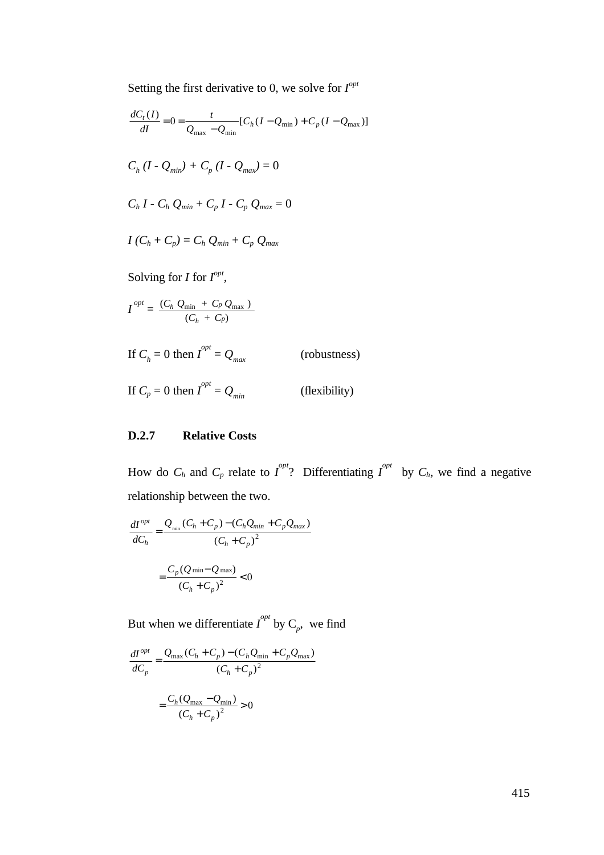Setting the first derivative to 0, we solve for  $I^{opt}$ 

$$
\frac{dC_t(I)}{dI} = 0 = \frac{t}{Q_{\text{max}} - Q_{\text{min}}} [C_h(I - Q_{\text{min}}) + C_p(I - Q_{\text{max}})]
$$
  
\n
$$
C_h (I - Q_{\text{min}}) + C_p (I - Q_{\text{max}}) = 0
$$
  
\n
$$
C_h I - C_h Q_{\text{min}} + C_p I - C_p Q_{\text{max}} = 0
$$
  
\n
$$
I (C_h + C_p) = C_h Q_{\text{min}} + C_p Q_{\text{max}}
$$
  
\nSolving for I for  $I^{opt}$ ,  
\n
$$
I^{opt} = \frac{(C_h Q_{\text{min}} + C_p Q_{\text{max}})}{(C_h + C_p)}
$$

If 
$$
C_h = 0
$$
 then  $I^{pH} = Q_{max}$  (robustness)  
If  $C_p = 0$  then  $I^{opt} = Q_{min}$  (flexibility)

# **D.2.7 Relative Costs**

How do  $C_h$  and  $C_p$  relate to  $I^{opt}$ ? Differentiating  $I^{opt}$  by  $C_h$ , we find a negative relationship between the two.

$$
\frac{dI^{opt}}{dC_h} = \frac{Q_{min} (C_h + C_p) - (C_h Q_{min} + C_p Q_{max})}{(C_h + C_p)^2}
$$

$$
= \frac{C_p (Q_{min} - Q_{max})}{(C_h + C_p)^2} < 0
$$

But when we differentiate  $I^{^{opt}}$  by  $C_p$ , we find

$$
\frac{dI^{opt}}{dC_p} = \frac{Q_{\text{max}}(C_h + C_p) - (C_h Q_{\text{min}} + C_p Q_{\text{max}})}{(C_h + C_p)^2}
$$

$$
= \frac{C_h (Q_{\text{max}} - Q_{\text{min}})}{(C_h + C_p)^2} > 0
$$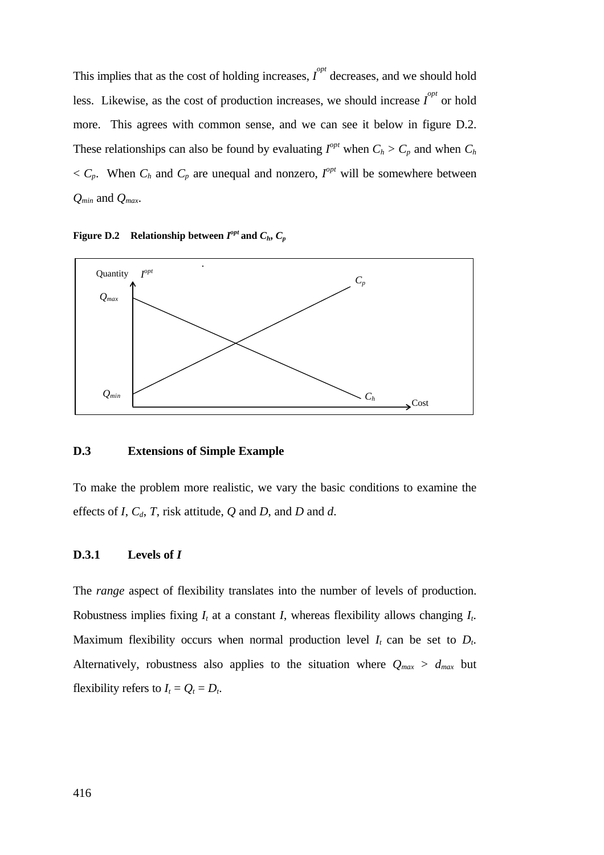This implies that as the cost of holding increases,  $I^{opt}$  decreases, and we should hold less. Likewise, as the cost of production increases, we should increase  $I^{opt}$  or hold more. This agrees with common sense, and we can see it below in figure D.2. These relationships can also be found by evaluating  $I^{opt}$  when  $C_h > C_p$  and when  $C_h$  $\langle C_p$ . When  $C_h$  and  $C_p$  are unequal and nonzero,  $I^{opt}$  will be somewhere between *Qmin* and *Qmax*.

**Figure D.2 Relationship between**  $I^{opt}$  **and**  $C_h$ **,**  $C_p$ 



# **D.3 Extensions of Simple Example**

To make the problem more realistic, we vary the basic conditions to examine the effects of *I*, *Cd*, *T*, risk attitude, *Q* and *D*, and *D* and *d*.

## **D.3.1 Levels of** *I*

The *range* aspect of flexibility translates into the number of levels of production. Robustness implies fixing *It* at a constant *I*, whereas flexibility allows changing *It*. Maximum flexibility occurs when normal production level  $I_t$  can be set to  $D_t$ . Alternatively, robustness also applies to the situation where  $Q_{max} > d_{max}$  but flexibility refers to  $I_t = Q_t = D_t$ .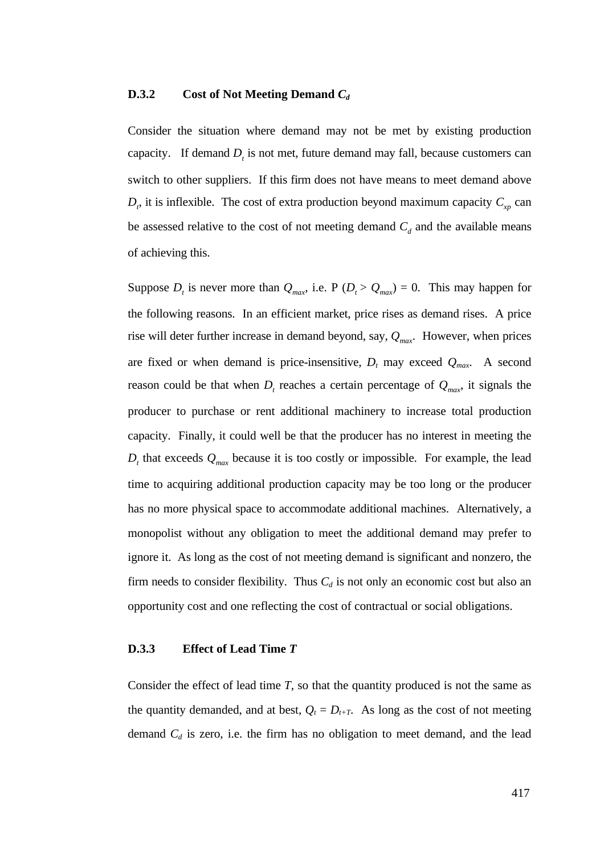#### **D.3.2 Cost of Not Meeting Demand** *C<sup>d</sup>*

Consider the situation where demand may not be met by existing production capacity. If demand  $D<sub>t</sub>$  is not met, future demand may fall, because customers can switch to other suppliers. If this firm does not have means to meet demand above  $D_t$ , it is inflexible. The cost of extra production beyond maximum capacity  $C_{xp}$  can be assessed relative to the cost of not meeting demand  $C_d$  and the available means of achieving this.

Suppose  $D_t$  is never more than  $Q_{max}$ , i.e. P ( $D_t > Q_{max}$ ) = 0. This may happen for the following reasons. In an efficient market, price rises as demand rises. A price rise will deter further increase in demand beyond, say, *Qmax* . However, when prices are fixed or when demand is price-insensitive,  $D_t$  may exceed  $Q_{max}$ . A second reason could be that when  $D_t$  reaches a certain percentage of  $Q_{max}$ , it signals the producer to purchase or rent additional machinery to increase total production capacity. Finally, it could well be that the producer has no interest in meeting the  $D_t$  that exceeds  $Q_{max}$  because it is too costly or impossible. For example, the lead time to acquiring additional production capacity may be too long or the producer has no more physical space to accommodate additional machines. Alternatively, a monopolist without any obligation to meet the additional demand may prefer to ignore it. As long as the cost of not meeting demand is significant and nonzero, the firm needs to consider flexibility. Thus  $C_d$  is not only an economic cost but also an opportunity cost and one reflecting the cost of contractual or social obligations.

#### **D.3.3 Effect of Lead Time** *T*

Consider the effect of lead time *T*, so that the quantity produced is not the same as the quantity demanded, and at best,  $Q_t = D_{t+T}$ . As long as the cost of not meeting demand  $C_d$  is zero, i.e. the firm has no obligation to meet demand, and the lead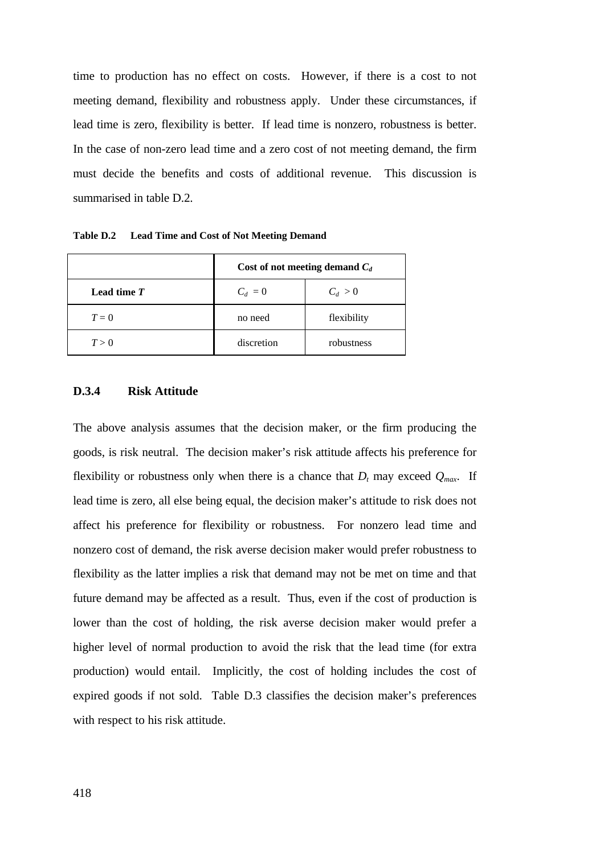time to production has no effect on costs. However, if there is a cost to not meeting demand, flexibility and robustness apply. Under these circumstances, if lead time is zero, flexibility is better. If lead time is nonzero, robustness is better. In the case of non-zero lead time and a zero cost of not meeting demand, the firm must decide the benefits and costs of additional revenue. This discussion is summarised in table D.2.

**Cost of not meeting demand** *C<sup>d</sup>* **Lead time** *T*  $C_d = 0$   $C_d > 0$  $T = 0$  no need flexibility  $T > 0$  discretion robustness

**Table D.2 Lead Time and Cost of Not Meeting Demand**

#### **D.3.4 Risk Attitude**

The above analysis assumes that the decision maker, or the firm producing the goods, is risk neutral. The decision maker's risk attitude affects his preference for flexibility or robustness only when there is a chance that  $D_t$  may exceed  $Q_{max}$ . If lead time is zero, all else being equal, the decision maker's attitude to risk does not affect his preference for flexibility or robustness. For nonzero lead time and nonzero cost of demand, the risk averse decision maker would prefer robustness to flexibility as the latter implies a risk that demand may not be met on time and that future demand may be affected as a result. Thus, even if the cost of production is lower than the cost of holding, the risk averse decision maker would prefer a higher level of normal production to avoid the risk that the lead time (for extra production) would entail. Implicitly, the cost of holding includes the cost of expired goods if not sold. Table D.3 classifies the decision maker's preferences with respect to his risk attitude.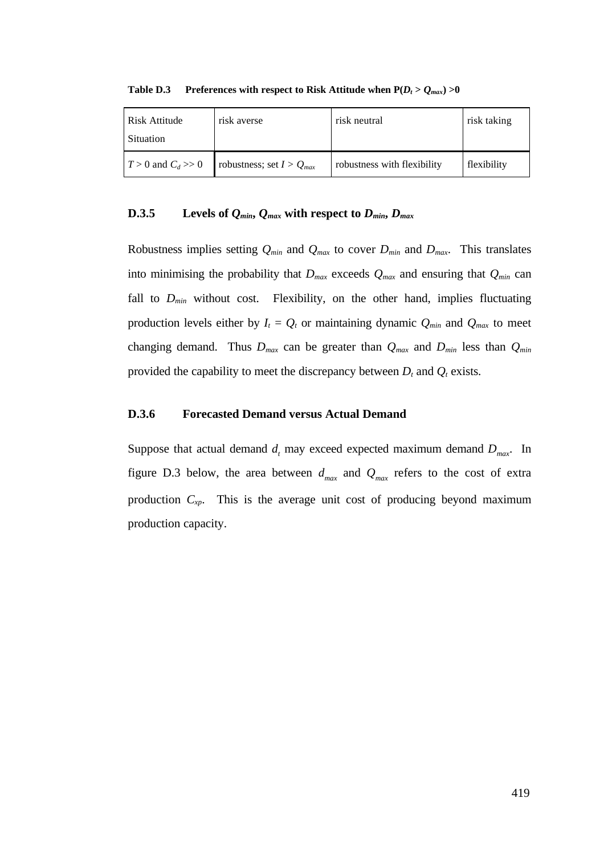| <b>Risk Attitude</b><br>Situation | risk averse                   | risk neutral                | risk taking |
|-----------------------------------|-------------------------------|-----------------------------|-------------|
| $T > 0$ and $C_d >> 0$            | robustness; set $I > Q_{max}$ | robustness with flexibility | flexibility |

**Table D.3** Preferences with respect to Risk Attitude when  $P(D_t > Q_{max}) > 0$ 

## **D.3.5 Levels of**  $Q_{min}$ **,**  $Q_{max}$  **with respect to**  $D_{min}$ **,**  $D_{max}$

Robustness implies setting  $Q_{min}$  and  $Q_{max}$  to cover  $D_{min}$  and  $D_{max}$ . This translates into minimising the probability that  $D_{max}$  exceeds  $Q_{max}$  and ensuring that  $Q_{min}$  can fall to  $D_{min}$  without cost. Flexibility, on the other hand, implies fluctuating production levels either by  $I_t = Q_t$  or maintaining dynamic  $Q_{min}$  and  $Q_{max}$  to meet changing demand. Thus  $D_{max}$  can be greater than  $Q_{max}$  and  $D_{min}$  less than  $Q_{min}$ provided the capability to meet the discrepancy between  $D_t$  and  $Q_t$  exists.

#### **D.3.6 Forecasted Demand versus Actual Demand**

Suppose that actual demand  $d_t$  may exceed expected maximum demand  $D_{max}$ . In figure D.3 below, the area between  $d_{max}$  and  $Q_{max}$  refers to the cost of extra production  $C_{xp}$ . This is the average unit cost of producing beyond maximum production capacity.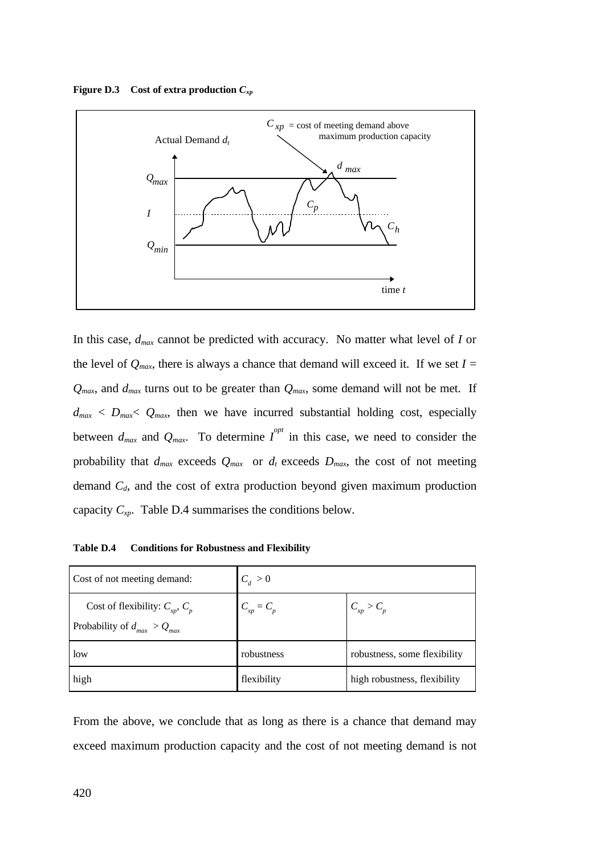**Figure D.3** Cost of extra production  $C_{xp}$ 



In this case, *dmax* cannot be predicted with accuracy. No matter what level of *I* or the level of  $Q_{max}$ , there is always a chance that demand will exceed it. If we set  $I =$  $Q_{max}$ , and  $d_{max}$  turns out to be greater than  $Q_{max}$ , some demand will not be met. If  $d_{max}$  <  $D_{max}$   $Q_{max}$ , then we have incurred substantial holding cost, especially between  $d_{max}$  and  $Q_{max}$ . To determine  $I^{opt}$  in this case, we need to consider the probability that  $d_{max}$  exceeds  $Q_{max}$  or  $d_t$  exceeds  $D_{max}$ , the cost of not meeting demand *Cd*, and the cost of extra production beyond given maximum production capacity *Cxp*. Table D.4 summarises the conditions below.

| Cost of not meeting demand:                                                 | $C_d > 0$      |                              |  |
|-----------------------------------------------------------------------------|----------------|------------------------------|--|
| Cost of flexibility: $C_{xp}$ , $C_p$<br>Probability of $d_{max} > Q_{max}$ | $C_{xp} = C_p$ | $C_{xp} > C_p$               |  |
| low                                                                         | robustness     | robustness, some flexibility |  |
| high                                                                        | flexibility    | high robustness, flexibility |  |

From the above, we conclude that as long as there is a chance that demand may exceed maximum production capacity and the cost of not meeting demand is not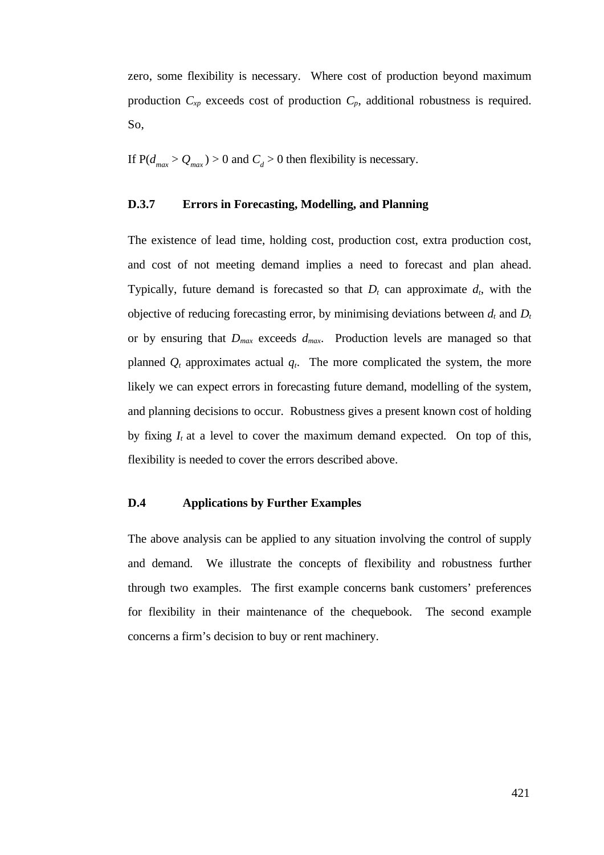zero, some flexibility is necessary. Where cost of production beyond maximum production  $C_{xp}$  exceeds cost of production  $C_p$ , additional robustness is required. So,

If  $P(d_{max} > Q_{max}) > 0$  and  $C_d > 0$  then flexibility is necessary.

## **D.3.7 Errors in Forecasting, Modelling, and Planning**

The existence of lead time, holding cost, production cost, extra production cost, and cost of not meeting demand implies a need to forecast and plan ahead. Typically, future demand is forecasted so that  $D_t$  can approximate  $d_t$ , with the objective of reducing forecasting error, by minimising deviations between  $d_t$  and  $D_t$ or by ensuring that  $D_{max}$  exceeds  $d_{max}$ . Production levels are managed so that planned  $Q_t$  approximates actual  $q_t$ . The more complicated the system, the more likely we can expect errors in forecasting future demand, modelling of the system, and planning decisions to occur. Robustness gives a present known cost of holding by fixing  $I_t$  at a level to cover the maximum demand expected. On top of this, flexibility is needed to cover the errors described above.

# **D.4 Applications by Further Examples**

The above analysis can be applied to any situation involving the control of supply and demand. We illustrate the concepts of flexibility and robustness further through two examples. The first example concerns bank customers' preferences for flexibility in their maintenance of the chequebook. The second example concerns a firm's decision to buy or rent machinery.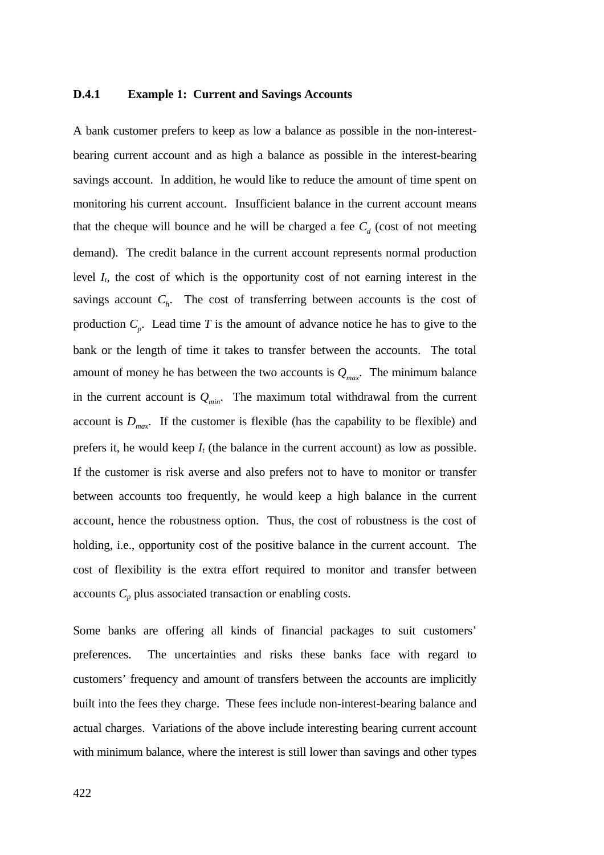#### **D.4.1 Example 1: Current and Savings Accounts**

A bank customer prefers to keep as low a balance as possible in the non-interestbearing current account and as high a balance as possible in the interest-bearing savings account. In addition, he would like to reduce the amount of time spent on monitoring his current account. Insufficient balance in the current account means that the cheque will bounce and he will be charged a fee  $C_d$  (cost of not meeting demand). The credit balance in the current account represents normal production level  $I_t$ , the cost of which is the opportunity cost of not earning interest in the savings account  $C<sub>h</sub>$ . The cost of transferring between accounts is the cost of production  $C_p$ . Lead time *T* is the amount of advance notice he has to give to the bank or the length of time it takes to transfer between the accounts. The total amount of money he has between the two accounts is *Qmax* . The minimum balance in the current account is  $Q_{min}$ . The maximum total withdrawal from the current account is  $D_{max}$ . If the customer is flexible (has the capability to be flexible) and prefers it, he would keep  $I_t$  (the balance in the current account) as low as possible. If the customer is risk averse and also prefers not to have to monitor or transfer between accounts too frequently, he would keep a high balance in the current account, hence the robustness option. Thus, the cost of robustness is the cost of holding, i.e., opportunity cost of the positive balance in the current account. The cost of flexibility is the extra effort required to monitor and transfer between accounts *Cp* plus associated transaction or enabling costs.

Some banks are offering all kinds of financial packages to suit customers' preferences. The uncertainties and risks these banks face with regard to customers' frequency and amount of transfers between the accounts are implicitly built into the fees they charge. These fees include non-interest-bearing balance and actual charges. Variations of the above include interesting bearing current account with minimum balance, where the interest is still lower than savings and other types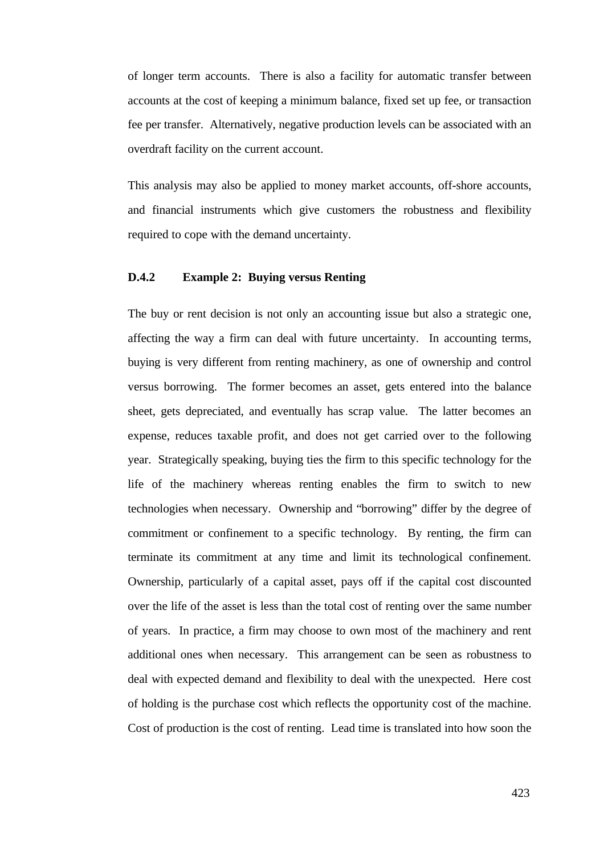of longer term accounts. There is also a facility for automatic transfer between accounts at the cost of keeping a minimum balance, fixed set up fee, or transaction fee per transfer. Alternatively, negative production levels can be associated with an overdraft facility on the current account.

This analysis may also be applied to money market accounts, off-shore accounts, and financial instruments which give customers the robustness and flexibility required to cope with the demand uncertainty.

#### **D.4.2 Example 2: Buying versus Renting**

The buy or rent decision is not only an accounting issue but also a strategic one, affecting the way a firm can deal with future uncertainty. In accounting terms, buying is very different from renting machinery, as one of ownership and control versus borrowing. The former becomes an asset, gets entered into the balance sheet, gets depreciated, and eventually has scrap value. The latter becomes an expense, reduces taxable profit, and does not get carried over to the following year. Strategically speaking, buying ties the firm to this specific technology for the life of the machinery whereas renting enables the firm to switch to new technologies when necessary. Ownership and "borrowing" differ by the degree of commitment or confinement to a specific technology. By renting, the firm can terminate its commitment at any time and limit its technological confinement. Ownership, particularly of a capital asset, pays off if the capital cost discounted over the life of the asset is less than the total cost of renting over the same number of years. In practice, a firm may choose to own most of the machinery and rent additional ones when necessary. This arrangement can be seen as robustness to deal with expected demand and flexibility to deal with the unexpected. Here cost of holding is the purchase cost which reflects the opportunity cost of the machine. Cost of production is the cost of renting. Lead time is translated into how soon the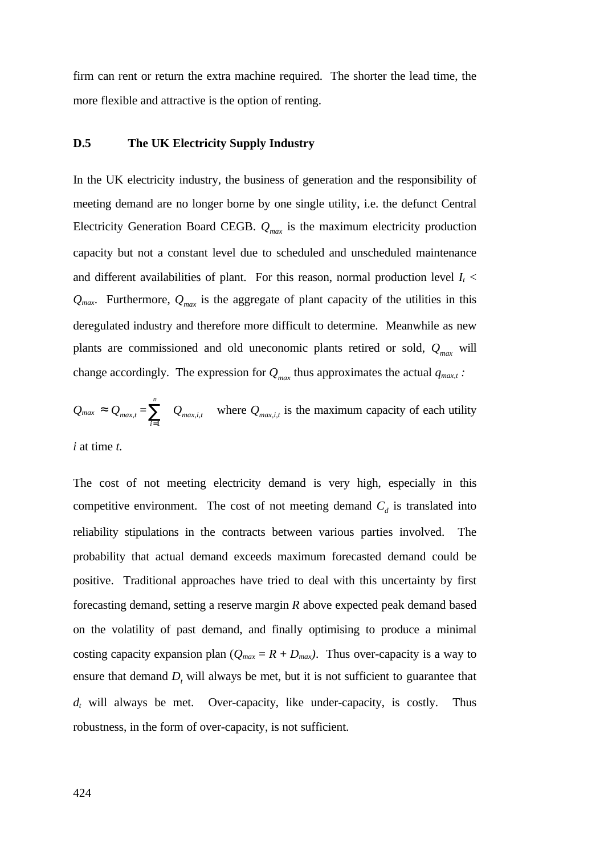firm can rent or return the extra machine required. The shorter the lead time, the more flexible and attractive is the option of renting.

#### **D.5 The UK Electricity Supply Industry**

In the UK electricity industry, the business of generation and the responsibility of meeting demand are no longer borne by one single utility, i.e. the defunct Central Electricity Generation Board CEGB. *Qmax* is the maximum electricity production capacity but not a constant level due to scheduled and unscheduled maintenance and different availabilities of plant. For this reason, normal production level  $I_t$  < *Qmax*. Furthermore, *Qmax* is the aggregate of plant capacity of the utilities in this deregulated industry and therefore more difficult to determine. Meanwhile as new plants are commissioned and old uneconomic plants retired or sold, *Qmax* will change accordingly. The expression for  $Q_{max}$  thus approximates the actual  $q_{max,t}$ :

$$
Q_{max} \approx Q_{max,t} = \sum_{i=1}^{n} Q_{max,i,t}
$$
 where  $Q_{max,i,t}$  is the maximum capacity of each utility

*i* at time *t.*

The cost of not meeting electricity demand is very high, especially in this competitive environment. The cost of not meeting demand  $C_d$  is translated into reliability stipulations in the contracts between various parties involved. The probability that actual demand exceeds maximum forecasted demand could be positive. Traditional approaches have tried to deal with this uncertainty by first forecasting demand, setting a reserve margin *R* above expected peak demand based on the volatility of past demand, and finally optimising to produce a minimal costing capacity expansion plan  $(Q_{max} = R + D_{max})$ . Thus over-capacity is a way to ensure that demand  $D<sub>t</sub>$  will always be met, but it is not sufficient to guarantee that  $d_t$  will always be met. Over-capacity, like under-capacity, is costly. Thus robustness, in the form of over-capacity, is not sufficient.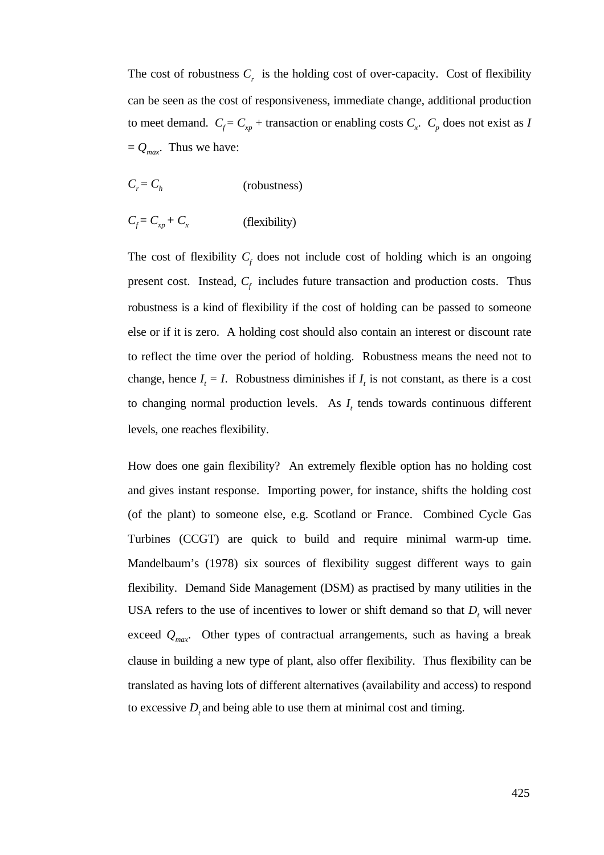The cost of robustness  $C_r$  is the holding cost of over-capacity. Cost of flexibility can be seen as the cost of responsiveness, immediate change, additional production to meet demand.  $C_f = C_{xp}$  + transaction or enabling costs  $C_x$ .  $C_p$  does not exist as *I*  $= Q_{max}$ . Thus we have:

 $C_r = C_h$ = *C<sup>h</sup>* (robustness)

 $C_f = C_{xp}$ (*flexibility*)

The cost of flexibility  $C_f$  does not include cost of holding which is an ongoing present cost. Instead,  $C_f$  includes future transaction and production costs. Thus robustness is a kind of flexibility if the cost of holding can be passed to someone else or if it is zero. A holding cost should also contain an interest or discount rate to reflect the time over the period of holding. Robustness means the need not to change, hence  $I_t = I$ . Robustness diminishes if  $I_t$  is not constant, as there is a cost to changing normal production levels. As  $I_t$  tends towards continuous different levels, one reaches flexibility.

How does one gain flexibility? An extremely flexible option has no holding cost and gives instant response. Importing power, for instance, shifts the holding cost (of the plant) to someone else, e.g. Scotland or France. Combined Cycle Gas Turbines (CCGT) are quick to build and require minimal warm-up time. Mandelbaum's (1978) six sources of flexibility suggest different ways to gain flexibility. Demand Side Management (DSM) as practised by many utilities in the USA refers to the use of incentives to lower or shift demand so that  $D<sub>t</sub>$  will never exceed *Qmax* . Other types of contractual arrangements, such as having a break clause in building a new type of plant, also offer flexibility. Thus flexibility can be translated as having lots of different alternatives (availability and access) to respond to excessive  $D<sub>t</sub>$  and being able to use them at minimal cost and timing.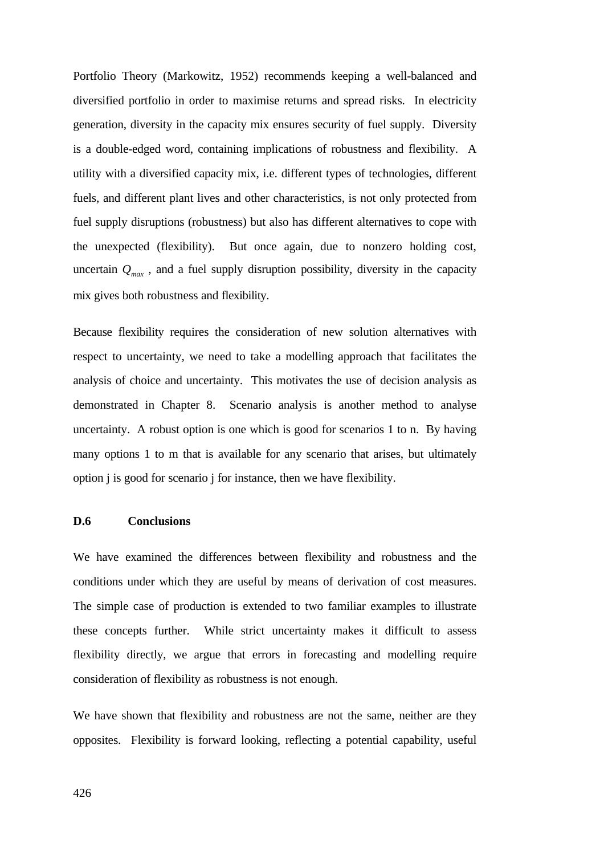Portfolio Theory (Markowitz, 1952) recommends keeping a well-balanced and diversified portfolio in order to maximise returns and spread risks. In electricity generation, diversity in the capacity mix ensures security of fuel supply. Diversity is a double-edged word, containing implications of robustness and flexibility. A utility with a diversified capacity mix, i.e. different types of technologies, different fuels, and different plant lives and other characteristics, is not only protected from fuel supply disruptions (robustness) but also has different alternatives to cope with the unexpected (flexibility). But once again, due to nonzero holding cost, uncertain *Qmax* , and a fuel supply disruption possibility, diversity in the capacity mix gives both robustness and flexibility.

Because flexibility requires the consideration of new solution alternatives with respect to uncertainty, we need to take a modelling approach that facilitates the analysis of choice and uncertainty. This motivates the use of decision analysis as demonstrated in Chapter 8. Scenario analysis is another method to analyse uncertainty. A robust option is one which is good for scenarios 1 to n. By having many options 1 to m that is available for any scenario that arises, but ultimately option j is good for scenario j for instance, then we have flexibility.

## **D.6 Conclusions**

We have examined the differences between flexibility and robustness and the conditions under which they are useful by means of derivation of cost measures. The simple case of production is extended to two familiar examples to illustrate these concepts further. While strict uncertainty makes it difficult to assess flexibility directly, we argue that errors in forecasting and modelling require consideration of flexibility as robustness is not enough.

We have shown that flexibility and robustness are not the same, neither are they opposites. Flexibility is forward looking, reflecting a potential capability, useful